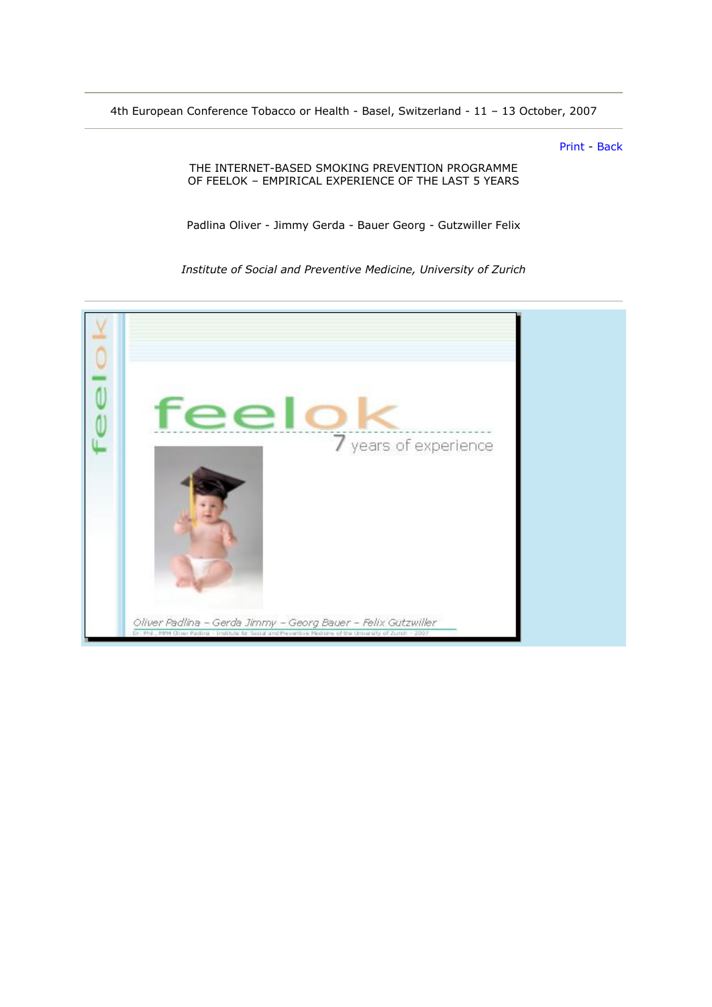4th European Conference Tobacco or Health - Basel, Switzerland - 11 – 13 October, 2007

[Print](javascript:self.print();) - [Back](javascript:history.back();)

THE INTERNET-BASED SMOKING PREVENTION PROGRAMME OF FEELOK – EMPIRICAL EXPERIENCE OF THE LAST 5 YEARS

Padlina Oliver - Jimmy Gerda - Bauer Georg - Gutzwiller Felix

*Institute of Social and Preventive Medicine, University of Zurich* 

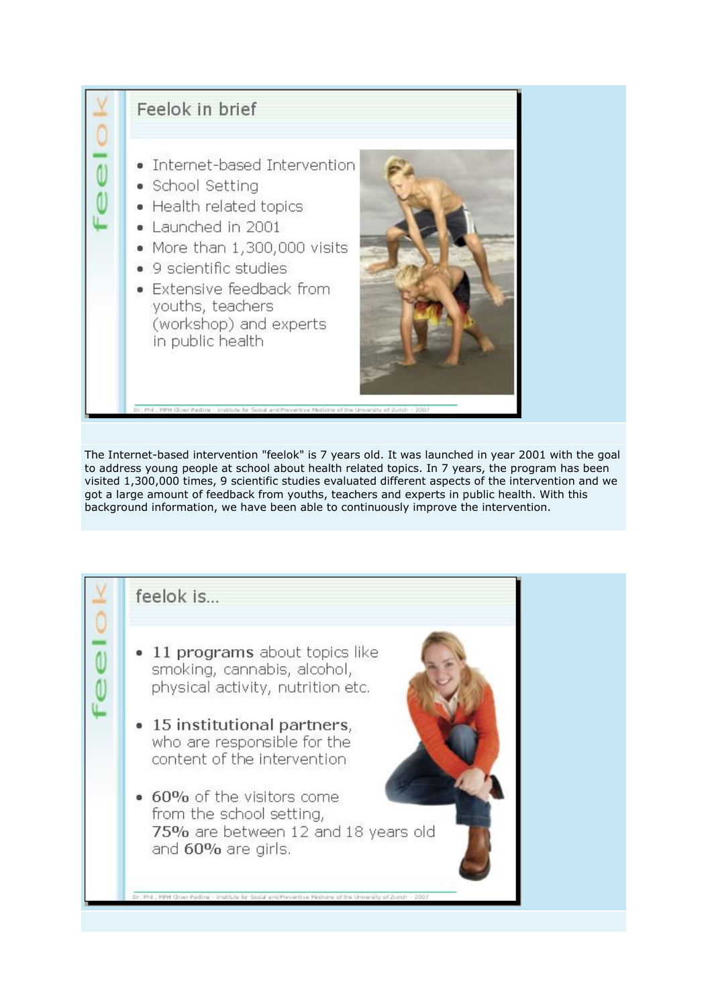

The Internet-based intervention "feelok" is 7 years old. It was launched in year 2001 with the goal to address young people at school about health related topics. In 7 years, the program has been visited 1,300,000 times, 9 scientific studies evaluated different aspects of the intervention and we got a large amount of feedback from youths, teachers and experts in public health. With this background information, we have been able to continuously improve the intervention.

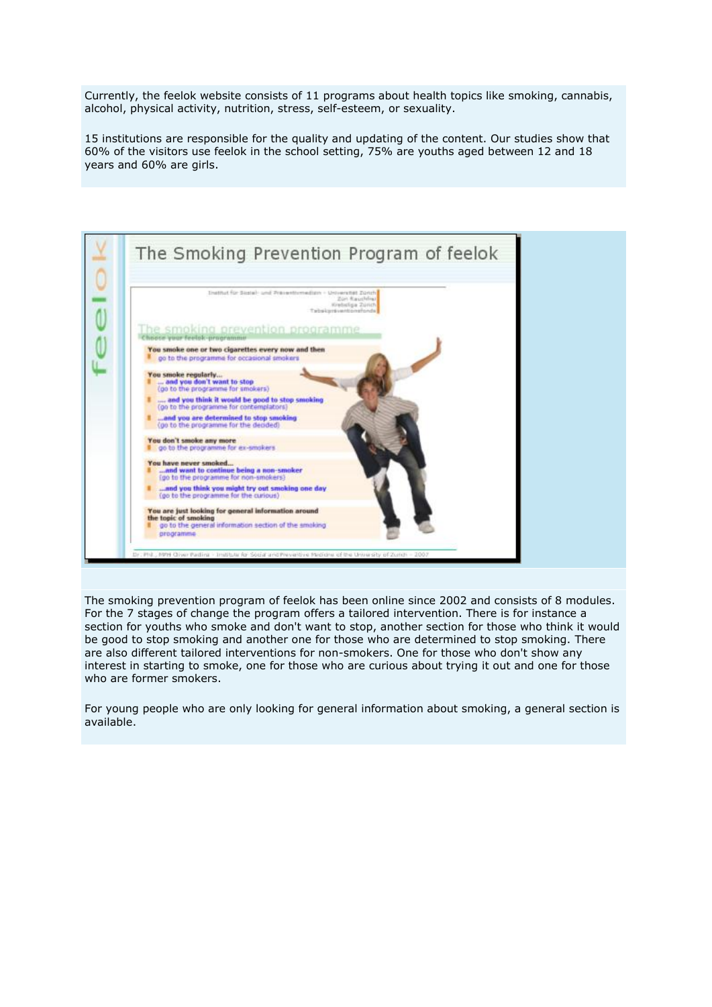Currently, the feelok website consists of 11 programs about health topics like smoking, cannabis, alcohol, physical activity, nutrition, stress, self-esteem, or sexuality.

15 institutions are responsible for the quality and updating of the content. Our studies show that 60% of the visitors use feelok in the school setting, 75% are youths aged between 12 and 18 years and 60% are girls.



The smoking prevention program of feelok has been online since 2002 and consists of 8 modules. For the 7 stages of change the program offers a tailored intervention. There is for instance a section for youths who smoke and don't want to stop, another section for those who think it would be good to stop smoking and another one for those who are determined to stop smoking. There are also different tailored interventions for non-smokers. One for those who don't show any interest in starting to smoke, one for those who are curious about trying it out and one for those who are former smokers.

For young people who are only looking for general information about smoking, a general section is available.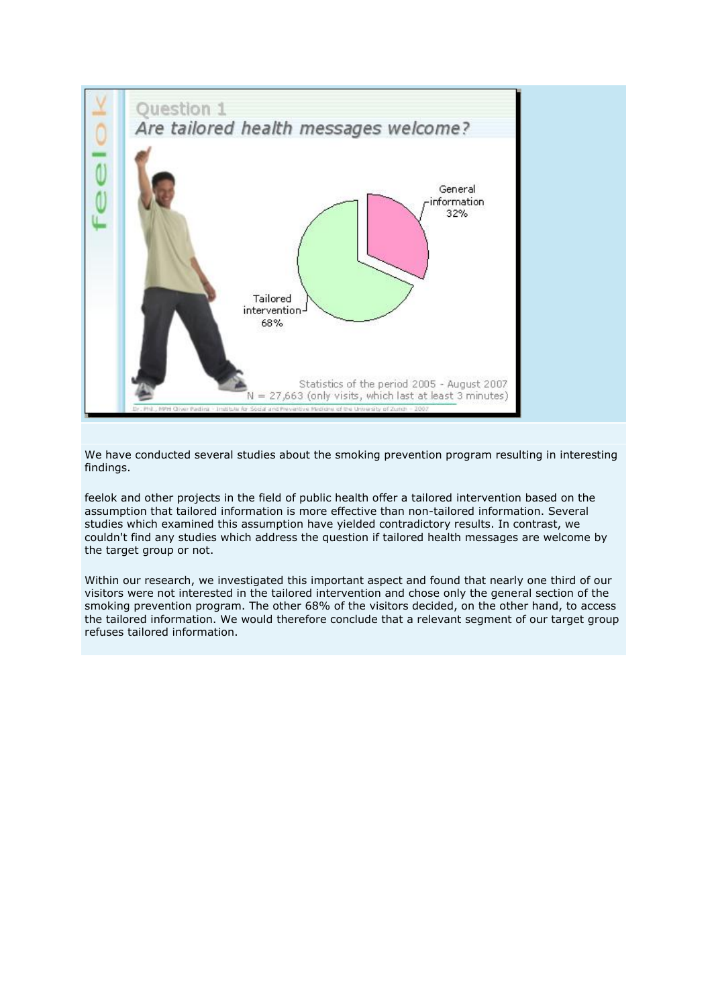

We have conducted several studies about the smoking prevention program resulting in interesting findings.

feelok and other projects in the field of public health offer a tailored intervention based on the assumption that tailored information is more effective than non-tailored information. Several studies which examined this assumption have yielded contradictory results. In contrast, we couldn't find any studies which address the question if tailored health messages are welcome by the target group or not.

Within our research, we investigated this important aspect and found that nearly one third of our visitors were not interested in the tailored intervention and chose only the general section of the smoking prevention program. The other 68% of the visitors decided, on the other hand, to access the tailored information. We would therefore conclude that a relevant segment of our target group refuses tailored information.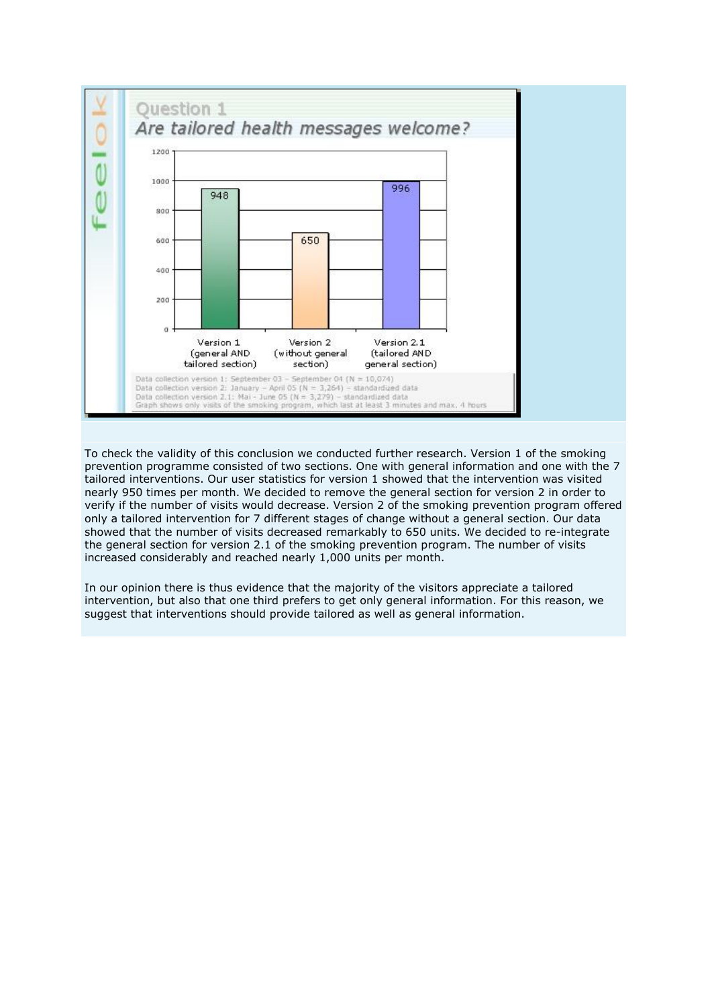

To check the validity of this conclusion we conducted further research. Version 1 of the smoking prevention programme consisted of two sections. One with general information and one with the 7 tailored interventions. Our user statistics for version 1 showed that the intervention was visited nearly 950 times per month. We decided to remove the general section for version 2 in order to verify if the number of visits would decrease. Version 2 of the smoking prevention program offered only a tailored intervention for 7 different stages of change without a general section. Our data showed that the number of visits decreased remarkably to 650 units. We decided to re-integrate the general section for version 2.1 of the smoking prevention program. The number of visits increased considerably and reached nearly 1,000 units per month.

In our opinion there is thus evidence that the majority of the visitors appreciate a tailored intervention, but also that one third prefers to get only general information. For this reason, we suggest that interventions should provide tailored as well as general information.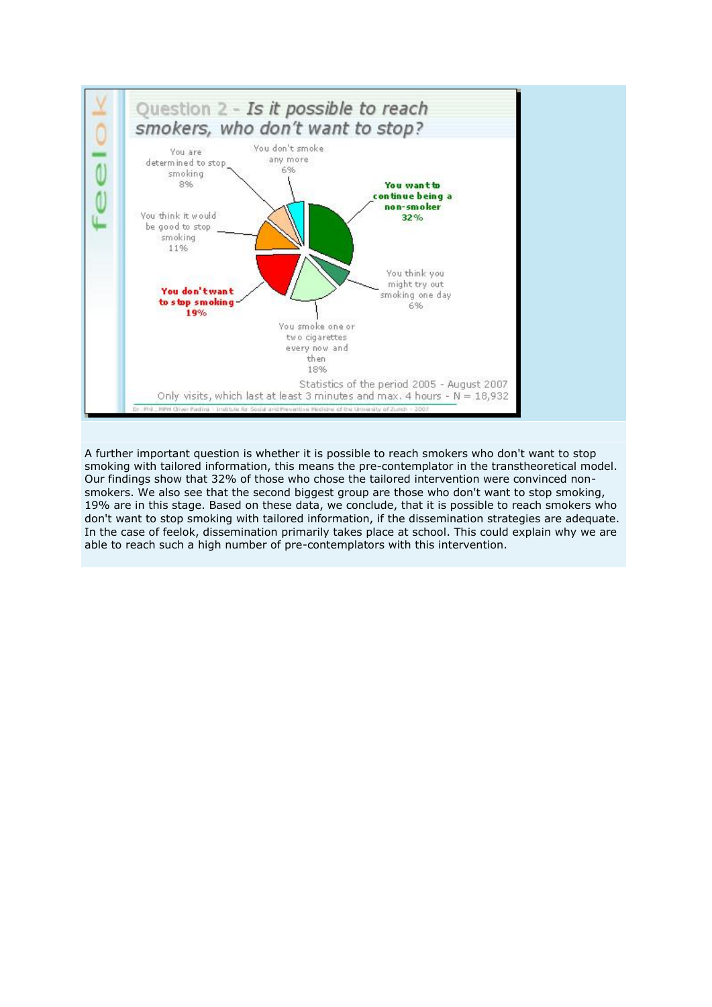

A further important question is whether it is possible to reach smokers who don't want to stop smoking with tailored information, this means the pre-contemplator in the transtheoretical model. Our findings show that 32% of those who chose the tailored intervention were convinced nonsmokers. We also see that the second biggest group are those who don't want to stop smoking, 19% are in this stage. Based on these data, we conclude, that it is possible to reach smokers who don't want to stop smoking with tailored information, if the dissemination strategies are adequate. In the case of feelok, dissemination primarily takes place at school. This could explain why we are able to reach such a high number of pre-contemplators with this intervention.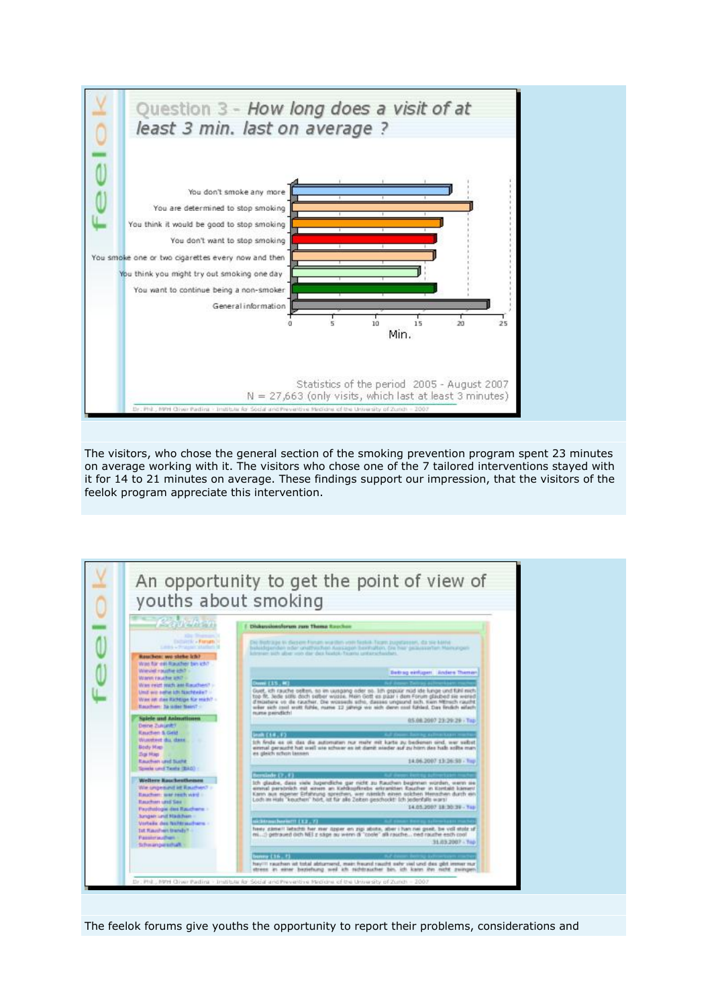

The visitors, who chose the general section of the smoking prevention program spent 23 minutes on average working with it. The visitors who chose one of the 7 tailored interventions stayed with it for 14 to 21 minutes on average. These findings support our impression, that the visitors of the feelok program appreciate this intervention.



The feelok forums give youths the opportunity to report their problems, considerations and